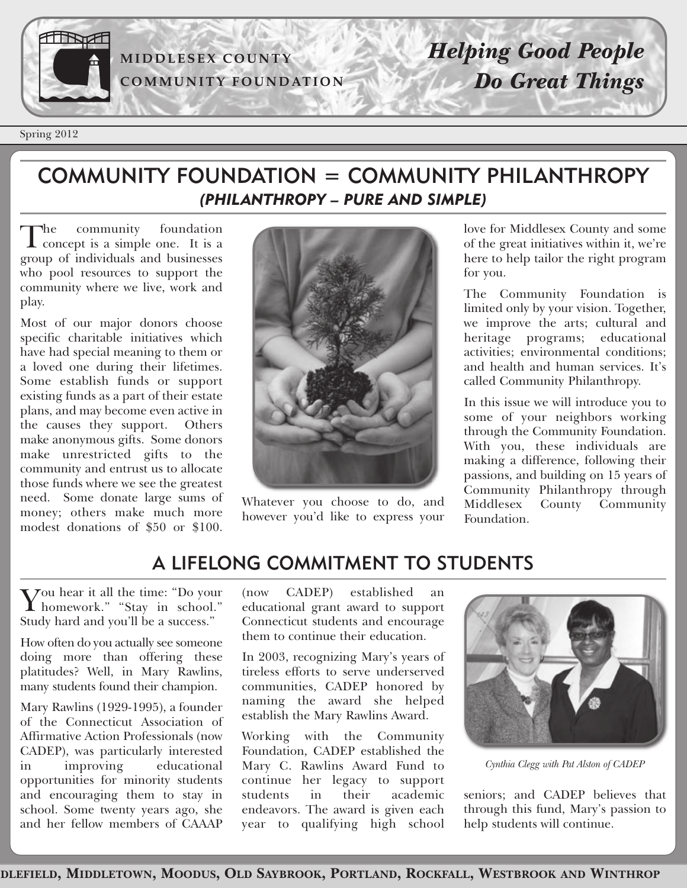

Spring 2012

### COMMUNITY FOUNDATION = COMMUNITY PHILANTHROPY *(PHILANTHROPY – PURE AND SIMPLE)*

The community foundation<br>
concept is a simple one. It is a group of individuals and businesses who pool resources to support the community where we live, work and play.

Most of our major donors choose specific charitable initiatives which have had special meaning to them or a loved one during their lifetimes. Some establish funds or support existing funds as a part of their estate plans, and may become even active in the causes they support. Others make anonymous gifts. Some donors make unrestricted gifts to the community and entrust us to allocate those funds where we see the greatest need. Some donate large sums of money; others make much more modest donations of \$50 or \$100.



Whatever you choose to do, and however you'd like to express your love for Middlesex County and some of the great initiatives within it, we're here to help tailor the right program for you.

The Community Foundation is limited only by your vision. Together, we improve the arts; cultural and heritage programs; educational activities; environmental conditions; and health and human services. It's called Community Philanthropy.

In this issue we will introduce you to some of your neighbors working through the Community Foundation. With you, these individuals are making a difference, following their passions, and building on 15 years of Community Philanthropy through Middlesex County Community Foundation.

## A LIFELONG COMMITMENT TO STUDENTS

You hear it all the time: "Do your homework." "Stay in school." Study hard and you'll be a success."

How often do you actually see someone doing more than offering these platitudes? Well, in Mary Rawlins, many students found their champion.

Mary Rawlins (1929-1995), a founder of the Connecticut Association of Affirmative Action Professionals (now CADEP), was particularly interested in improving educational opportunities for minority students and encouraging them to stay in school. Some twenty years ago, she and her fellow members of CAAAP

(now CADEP) established an educational grant award to support Connecticut students and encourage them to continue their education.

In 2003, recognizing Mary's years of tireless efforts to serve underserved communities, CADEP honored by naming the award she helped establish the Mary Rawlins Award.

Working with the Community Foundation, CADEP established the Mary C. Rawlins Award Fund to continue her legacy to support students in their academic endeavors. The award is given each year to qualifying high school



*Cynthia Clegg with Pat Alston of CADEP*

seniors; and CADEP believes that through this fund, Mary's passion to help students will continue.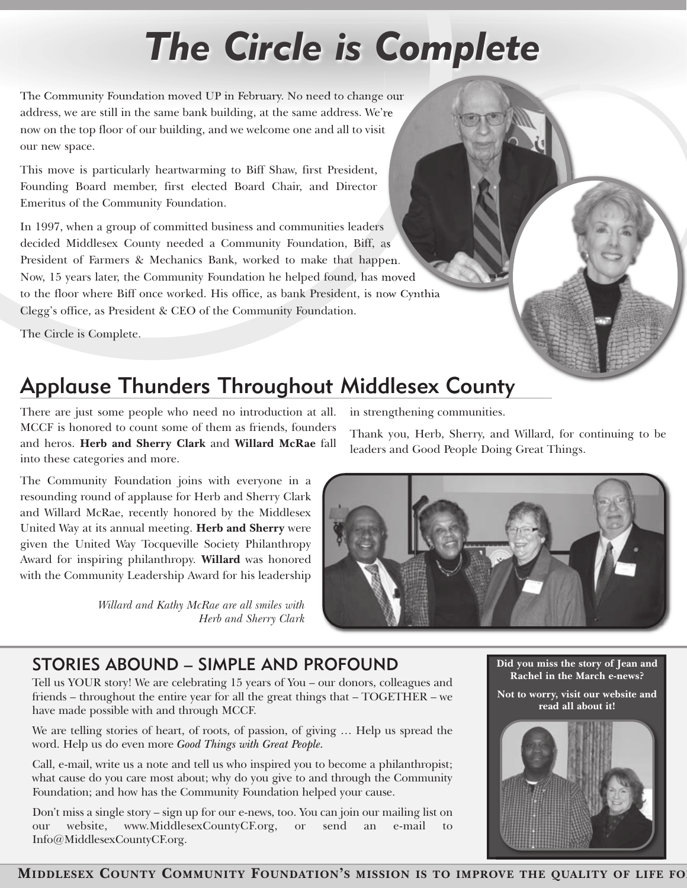# *The Circle is Complete*

The Community Foundation moved UP in February. No need to change our address, we are still in the same bank building, at the same address. We're now on the top floor of our building, and we welcome one and all to visit our new space.

This move is particularly heartwarming to Biff Shaw, first President, Founding Board member, first elected Board Chair, and Director Emeritus of the Community Foundation.

In 1997, when a group of committed business and communities leaders decided Middlesex County needed a Community Foundation, Biff, as President of Farmers & Mechanics Bank, worked to make that happen. Now, 15 years later, the Community Foundation he helped found, has moved to the floor where Biff once worked. His office, as bank President, is now Cynthia Clegg's office, as President & CEO of the Community Foundation.

The Circle is Complete.

# Applause Thunders Throughout Middlesex County

There are just some people who need no introduction at all. MCCF is honored to count some of them as friends, founders and heros. **Herb and Sherry Clark** and **Willard McRae** fall into these categories and more.

The Community Foundation joins with everyone in a resounding round of applause for Herb and Sherry Clark and Willard McRae, recently honored by the Middlesex United Way at its annual meeting. **Herb and Sherry** were given the United Way Tocqueville Society Philanthropy Award for inspiring philanthropy. **Willard** was honored with the Community Leadership Award for his leadership

> *Willard and Kathy McRae are all smiles with Herb and Sherry Clark*

in strengthening communities.

Thank you, Herb, Sherry, and Willard, for continuing to be leaders and Good People Doing Great Things.



## STORIES ABOUND – SIMPLE AND PROFOUND

Tell us YOUR story! We are celebrating 15 years of You – our donors, colleagues and friends – throughout the entire year for all the great things that – TOGETHER – we have made possible with and through MCCF.

We are telling stories of heart, of roots, of passion, of giving … Help us spread the word. Help us do even more *Good Things with Great People.*

Call, e-mail, write us a note and tell us who inspired you to become a philanthropist; what cause do you care most about; why do you give to and through the Community Foundation; and how has the Community Foundation helped your cause.

Don't miss a single story – sign up for our e-news, too. You can join our mailing list on our website, www.MiddlesexCountyCF.org, or send an e-mail to Info@MiddlesexCountyCF.org.



**Did you miss the story of Jean and Rachel in the March e-news?**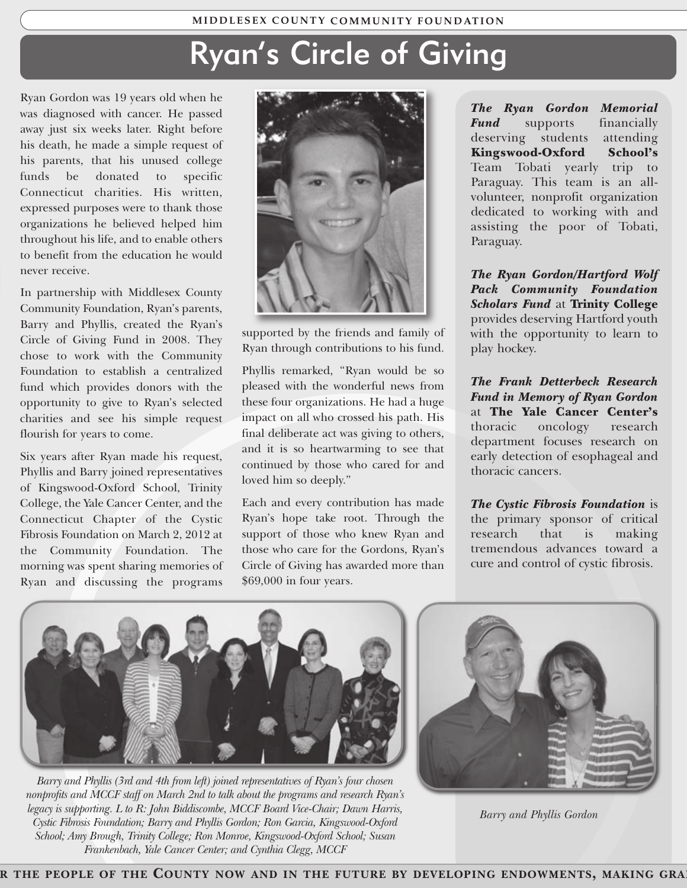# Ryan's Circle of Giving

Ryan Gordon was 19 years old when he was diagnosed with cancer. He passed away just six weeks later. Right before his death, he made a simple request of his parents, that his unused college funds be donated to specific Connecticut charities. His written, expressed purposes were to thank those organizations he believed helped him throughout his life, and to enable others to benefit from the education he would never receive.

In partnership with Middlesex County Community Foundation, Ryan's parents, Barry and Phyllis, created the Ryan's Circle of Giving Fund in 2008. They chose to work with the Community Foundation to establish a centralized fund which provides donors with the opportunity to give to Ryan's selected charities and see his simple request flourish for years to come.

Six years after Ryan made his request, Phyllis and Barry joined representatives of Kingswood-Oxford School, Trinity College, the Yale Cancer Center, and the Connecticut Chapter of the Cystic Fibrosis Foundation on March 2, 2012 at the Community Foundation. The morning was spent sharing memories of Ryan and discussing the programs



supported by the friends and family of Ryan through contributions to his fund.

Phyllis remarked, "Ryan would be so pleased with the wonderful news from these four organizations. He had a huge impact on all who crossed his path. His final deliberate act was giving to others, and it is so heartwarming to see that continued by those who cared for and loved him so deeply."

Each and every contribution has made Ryan's hope take root. Through the support of those who knew Ryan and those who care for the Gordons, Ryan's Circle of Giving has awarded more than \$69,000 in four years.

*The Ryan Gordon Memorial Fund* supports financially deserving students attending **Kingswood-Oxford School's** Team Tobati yearly trip to Paraguay. This team is an allvolunteer, nonprofit organization dedicated to working with and assisting the poor of Tobati, Paraguay.

*The Ryan Gordon/Hartford Wolf Pack Community Foundation Scholars Fund* at **Trinity College** provides deserving Hartford youth with the opportunity to learn to play hockey.

*The Frank Detterbeck Research Fund in Memory of Ryan Gordon* at **The Yale Cancer Center's** thoracic oncology research department focuses research on early detection of esophageal and thoracic cancers.

*The Cystic Fibrosis Foundation* is the primary sponsor of critical research that is making tremendous advances toward a cure and control of cystic fibrosis.



*Barry and Phyllis (3rd and 4th from left) joined representatives of Ryan's four chosen nonprofits and MCCF staff on March 2nd to talk about the programs and research Ryan's legacy is supporting. L to R: John Biddiscombe, MCCF Board Vice-Chair; Dawn Harris, Cystic Fibrosis Foundation; Barry and Phyllis Gordon; Ron Garcia, Kingswood-Oxford School; Amy Brough, Trinity College; Ron Monroe, Kingswood-Oxford School; Susan Frankenbach, Yale Cancer Center; and Cynthia Clegg, MCCF*



*Barry and Phyllis Gordon*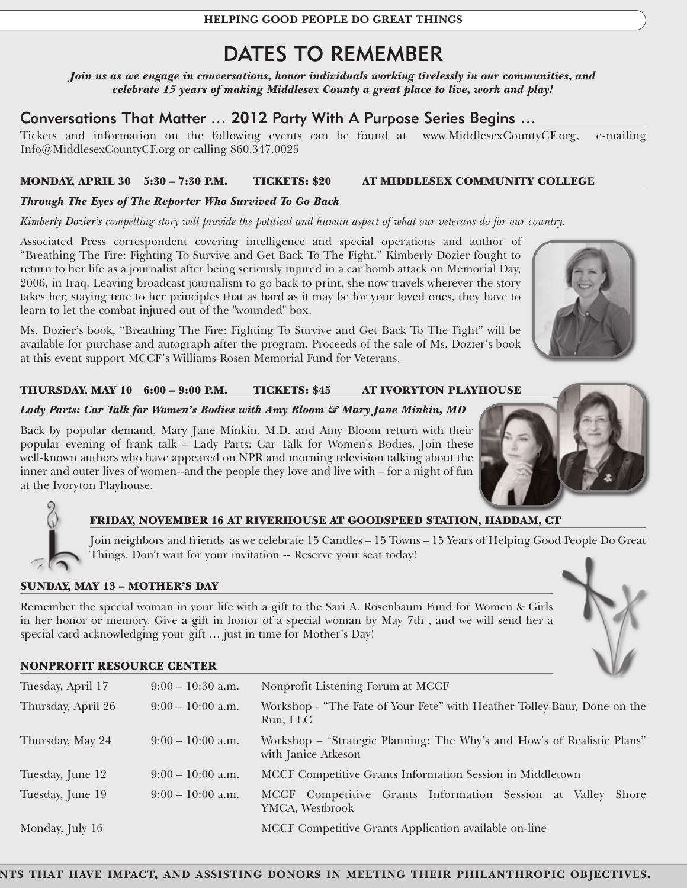**HELPING GOOD PEOPLE DO GREAT THINGS**

## DATES TO REMEMBER

*Join us as we engage in conversations, honor individuals working tirelessly in our communities, and celebrate 15 years of making Middlesex County a great place to live, work and play!*

#### Conversations That Matter … 2012 Party With A Purpose Series Begins …

Tickets and information on the following events can be found at www.MiddlesexCountyCF.org, e-mailing Info@MiddlesexCountyCF.org or calling 860.347.0025

#### **MONDAY, APRIL 30 5:30 – 7:30 P.M. TICKETS: \$20 AT MIDDLESEX COMMUNITY COLLEGE**

#### *Through The Eyes of The Reporter Who Survived To Go Back*

*Kimberly Dozier's compelling story will provide the political and human aspect of what our veterans do for our country.* 

Associated Press correspondent covering intelligence and special operations and author of "Breathing The Fire: Fighting To Survive and Get Back To The Fight," Kimberly Dozier fought to return to her life as a journalist after being seriously injured in a car bomb attack on Memorial Day, 2006, in Iraq. Leaving broadcast journalism to go back to print, she now travels wherever the story takes her, staying true to her principles that as hard as it may be for your loved ones, they have to learn to let the combat injured out of the "wounded" box.

Ms. Dozier's book, "Breathing The Fire: Fighting To Survive and Get Back To The Fight" will be available for purchase and autograph after the program. Proceeds of the sale of Ms. Dozier's book at this event support MCCF's Williams-Rosen Memorial Fund for Veterans.

#### **THURSDAY, MAY 10 6:00 – 9:00 P.M. TICKETS: \$45 AT IVORYTON PLAYHOUSE**

#### *Lady Parts: Car Talk for Women's Bodies with Amy Bloom & Mary Jane Minkin, MD*

Back by popular demand, Mary Jane Minkin, M.D. and Amy Bloom return with their popular evening of frank talk – Lady Parts: Car Talk for Women's Bodies. Join these well-known authors who have appeared on NPR and morning television talking about the inner and outer lives of women--and the people they love and live with – for a night of fun at the Ivoryton Playhouse.

#### **FRIDAY, NOVEMBER 16 AT RIVERHOUSE AT GOODSPEED STATION, HADDAM, CT**

Join neighbors and friends as we celebrate 15 Candles – 15 Towns – 15 Years of Helping Good People Do Great Things. Don't wait for your invitation -- Reserve your seat today!

#### **SUNDAY, MAY 13 – MOTHER'S DAY**

Remember the special woman in your life with a gift to the Sari A. Rosenbaum Fund for Women & Girls in her honor or memory. Give a gift in honor of a special woman by May 7th , and we will send her a special card acknowledging your gift … just in time for Mother's Day!

#### **NONPROFIT RESOURCE CENTER**

| Tuesday, April 17  | $9:00 - 10:30$ a.m. | Nonprofit Listening Forum at MCCF                                                              |
|--------------------|---------------------|------------------------------------------------------------------------------------------------|
| Thursday, April 26 | $9:00 - 10:00$ a.m. | Workshop - "The Fate of Your Fete" with Heather Tolley-Baur, Done on the<br>Run, LLC           |
| Thursday, May 24   | $9:00-10:00$ a.m.   | Workshop - "Strategic Planning: The Why's and How's of Realistic Plans"<br>with Janice Atkeson |
| Tuesday, June 12   | $9:00-10:00$ a.m.   | MCCF Competitive Grants Information Session in Middletown                                      |
| Tuesday, June 19   | $9:00 - 10:00$ a.m. | MCCF Competitive Grants Information Session at Valley<br><b>Shore</b><br>YMCA, Westbrook       |
| Monday, July 16    |                     | MCCF Competitive Grants Application available on-line                                          |



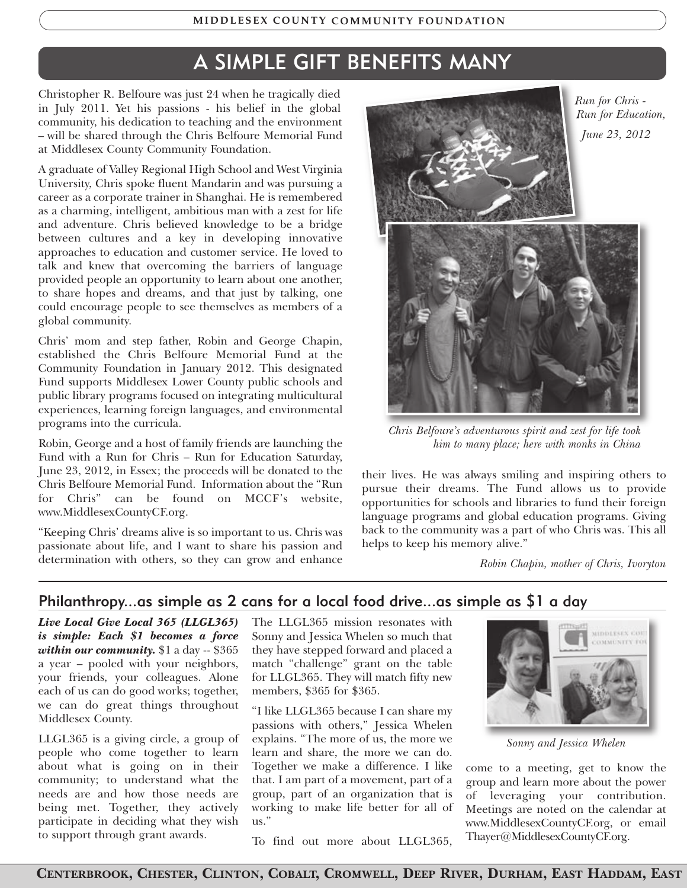# A SIMPLE GIFT BENEFITS MANY

Christopher R. Belfoure was just 24 when he tragically died in July 2011. Yet his passions - his belief in the global community, his dedication to teaching and the environment – will be shared through the Chris Belfoure Memorial Fund at Middlesex County Community Foundation.

A graduate of Valley Regional High School and West Virginia University, Chris spoke fluent Mandarin and was pursuing a career as a corporate trainer in Shanghai. He is remembered as a charming, intelligent, ambitious man with a zest for life and adventure. Chris believed knowledge to be a bridge between cultures and a key in developing innovative approaches to education and customer service. He loved to talk and knew that overcoming the barriers of language provided people an opportunity to learn about one another, to share hopes and dreams, and that just by talking, one could encourage people to see themselves as members of a global community.

Chris' mom and step father, Robin and George Chapin, established the Chris Belfoure Memorial Fund at the Community Foundation in January 2012. This designated Fund supports Middlesex Lower County public schools and public library programs focused on integrating multicultural experiences, learning foreign languages, and environmental programs into the curricula.

Robin, George and a host of family friends are launching the Fund with a Run for Chris – Run for Education Saturday, June 23, 2012, in Essex; the proceeds will be donated to the Chris Belfoure Memorial Fund. Information about the "Run for Chris" can be found on MCCF's website, www.MiddlesexCountyCF.org.

"Keeping Chris' dreams alive is so important to us. Chris was passionate about life, and I want to share his passion and determination with others, so they can grow and enhance



*Chris Belfoure's adventurous spirit and zest for life took him to many place; here with monks in China*

their lives. He was always smiling and inspiring others to pursue their dreams. The Fund allows us to provide opportunities for schools and libraries to fund their foreign language programs and global education programs. Giving back to the community was a part of who Chris was. This all helps to keep his memory alive."

*Robin Chapin, mother of Chris, Ivoryton*

#### Philanthropy...as simple as 2 cans for a local food drive...as simple as \$1 a day

*Live Local Give Local 365 (LLGL365) is simple: Each \$1 becomes a force within our community.* \$1 a day -- \$365 a year – pooled with your neighbors, your friends, your colleagues. Alone each of us can do good works; together, we can do great things throughout Middlesex County.

LLGL365 is a giving circle, a group of people who come together to learn about what is going on in their community; to understand what the needs are and how those needs are being met. Together, they actively participate in deciding what they wish to support through grant awards.

The LLGL365 mission resonates with Sonny and Jessica Whelen so much that they have stepped forward and placed a match "challenge" grant on the table for LLGL365. They will match fifty new members, \$365 for \$365.

"I like LLGL365 because I can share my passions with others," Jessica Whelen explains. "The more of us, the more we learn and share, the more we can do. Together we make a difference. I like that. I am part of a movement, part of a group, part of an organization that is working to make life better for all of us."



*Sonny and Jessica Whelen*

come to a meeting, get to know the group and learn more about the power of leveraging your contribution. Meetings are noted on the calendar at www.MiddlesexCountyCF.org, or email Thayer@MiddlesexCountyCF.org.

To find out more about LLGL365,

*Run for Chris - Run for Education, June 23, 2012*